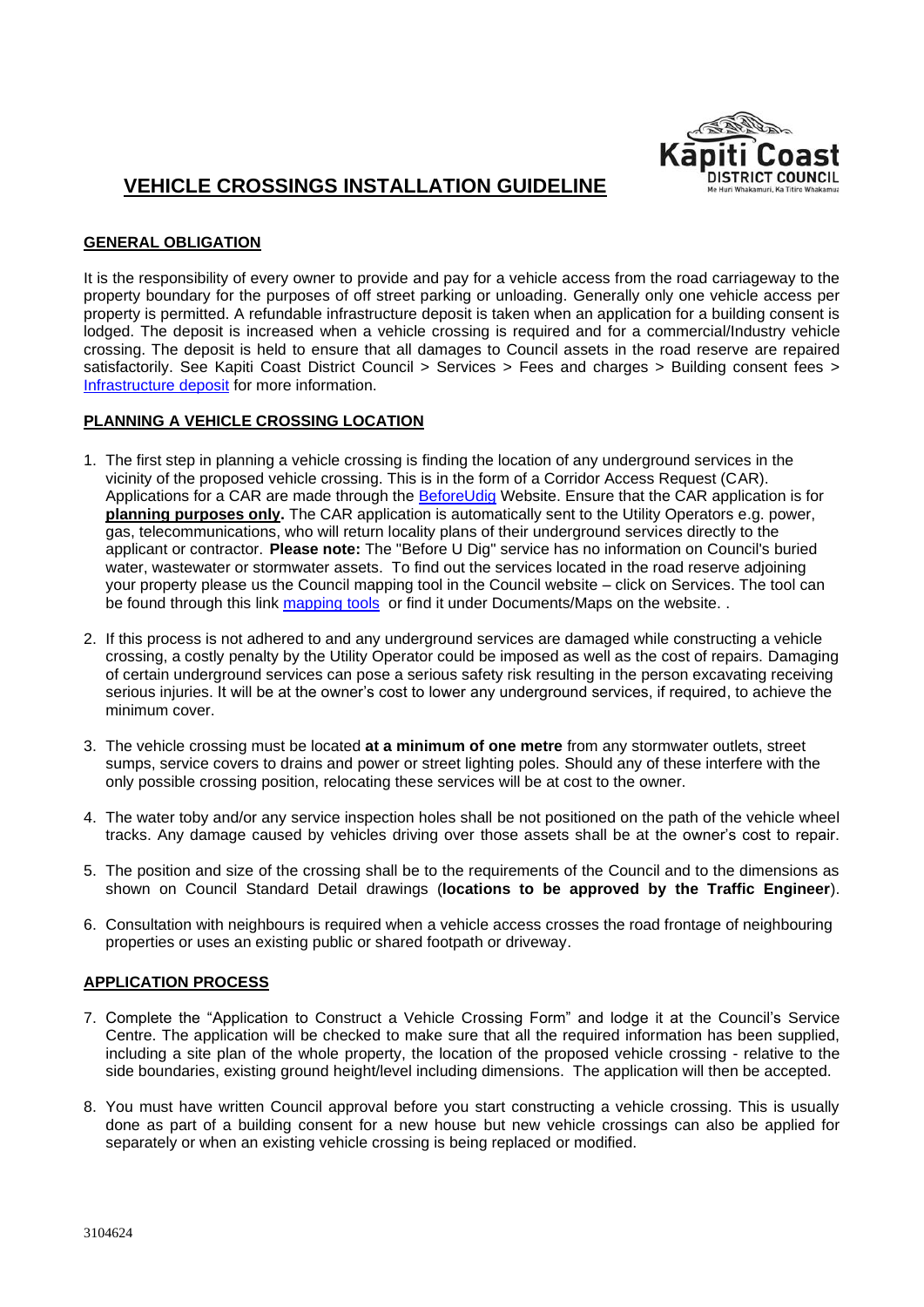

# **VEHICLE CROSSINGS INSTALLATION GUIDELINE**

# **GENERAL OBLIGATION**

It is the responsibility of every owner to provide and pay for a vehicle access from the road carriageway to the property boundary for the purposes of off street parking or unloading. Generally only one vehicle access per property is permitted. A refundable infrastructure deposit is taken when an application for a building consent is lodged. The deposit is increased when a vehicle crossing is required and for a commercial/Industry vehicle crossing. The deposit is held to ensure that all damages to Council assets in the road reserve are repaired satisfactorily. See Kapiti Coast District Council > Services > Fees and charges > Building consent fees > [Infrastructure deposit](https://www.kapiticoast.govt.nz/services/a-z-council-services-and-facilities/fees-and-charges/building-consent-fees#infrastructure-deposit) for more information.

### **PLANNING A VEHICLE CROSSING LOCATION**

- 1. The first step in planning a vehicle crossing is finding the location of any underground services in the vicinity of the proposed vehicle crossing. This is in the form of a Corridor Access Request (CAR). Applications for a CAR are made through the [BeforeUdig](http://www.beforeudig.co.nz/) Website. Ensure that the CAR application is for **planning purposes only.** The CAR application is automatically sent to the Utility Operators e.g. power, gas, telecommunications, who will return locality plans of their underground services directly to the applicant or contractor. **Please note:** The "Before U Dig" service has no information on Council's buried water, wastewater or stormwater assets. To find out the services located in the road reserve adjoining your property please us the Council mapping tool in the Council website – click on Services. The tool can be found through this link [mapping tools](http://www.kapiticoast.govt.nz/Your-Council/Forms-Documents/Maps/) or find it under Documents/Maps on the website. .
- 2. If this process is not adhered to and any underground services are damaged while constructing a vehicle crossing, a costly penalty by the Utility Operator could be imposed as well as the cost of repairs. Damaging of certain underground services can pose a serious safety risk resulting in the person excavating receiving serious injuries. It will be at the owner's cost to lower any underground services, if required, to achieve the minimum cover.
- 3. The vehicle crossing must be located **at a minimum of one metre** from any stormwater outlets, street sumps, service covers to drains and power or street lighting poles. Should any of these interfere with the only possible crossing position, relocating these services will be at cost to the owner.
- 4. The water toby and/or any service inspection holes shall be not positioned on the path of the vehicle wheel tracks. Any damage caused by vehicles driving over those assets shall be at the owner's cost to repair.
- 5. The position and size of the crossing shall be to the requirements of the Council and to the dimensions as shown on Council Standard Detail drawings (**locations to be approved by the Traffic Engineer**).
- 6. Consultation with neighbours is required when a vehicle access crosses the road frontage of neighbouring properties or uses an existing public or shared footpath or driveway.

# **APPLICATION PROCESS**

- 7. Complete the "Application to Construct a Vehicle Crossing Form" and lodge it at the Council's Service Centre. The application will be checked to make sure that all the required information has been supplied, including a site plan of the whole property, the location of the proposed vehicle crossing - relative to the side boundaries, existing ground height/level including dimensions. The application will then be accepted.
- 8. You must have written Council approval before you start constructing a vehicle crossing. This is usually done as part of a building consent for a new house but new vehicle crossings can also be applied for separately or when an existing vehicle crossing is being replaced or modified.